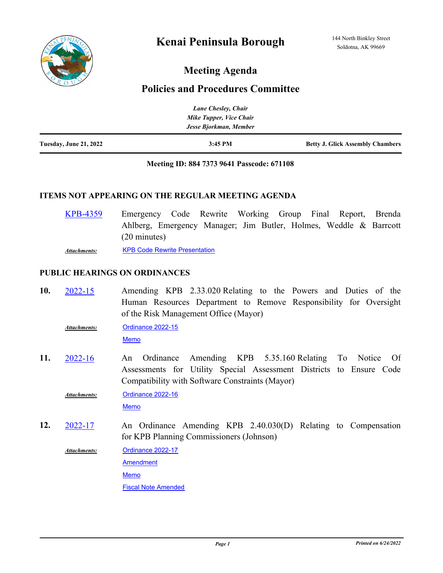# **Meeting Agenda**

## **Policies and Procedures Committee**

|                               | Lane Chesley, Chair     |                                         |
|-------------------------------|-------------------------|-----------------------------------------|
|                               | Mike Tupper, Vice Chair |                                         |
|                               | Jesse Bjorkman, Member  |                                         |
| <b>Tuesday, June 21, 2022</b> | $3:45$ PM               | <b>Betty J. Glick Assembly Chambers</b> |

## **Meeting ID: 884 7373 9641 Passcode: 671108**

## **ITEMS NOT APPEARING ON THE REGULAR MEETING AGENDA**

| <b>KPB-4359</b> | Emergency Code Rewrite Working Group Final Report, Brenda         |  |  |  |  |  |
|-----------------|-------------------------------------------------------------------|--|--|--|--|--|
|                 | Ahlberg, Emergency Manager; Jim Butler, Holmes, Weddle & Barrcott |  |  |  |  |  |
|                 | $(20 \text{ minutes})$                                            |  |  |  |  |  |
| Attachments:    | <b>KPB Code Rewrite Presentation</b>                              |  |  |  |  |  |

## **PUBLIC HEARINGS ON ORDINANCES**

Amending KPB 2.33.020 Relating to the Powers and Duties of the Human Resources Department to Remove Responsibility for Oversight of the Risk Management Office (Mayor) **10.** [2022-15](http://kpb.legistar.com/gateway.aspx?m=l&id=/matter.aspx?key=25676)

[Ordinance 2022-15](http://kpb.legistar.com/gateway.aspx?M=F&ID=92b9a9de-2016-49e8-814f-9441b98b0316.docx) *Attachments:*

[Memo](http://kpb.legistar.com/gateway.aspx?M=F&ID=aa0288c0-1732-4e3e-a960-4b6003bb1fc7.pdf)

An Ordinance Amending KPB 5.35.160 Relating To Notice Of Assessments for Utility Special Assessment Districts to Ensure Code Compatibility with Software Constraints (Mayor) **11.** [2022-16](http://kpb.legistar.com/gateway.aspx?m=l&id=/matter.aspx?key=25674)

[Ordinance 2022-16](http://kpb.legistar.com/gateway.aspx?M=F&ID=6ba6bafb-0362-48dc-9401-6c0c5fa49c19.docx) [Memo](http://kpb.legistar.com/gateway.aspx?M=F&ID=4bd31ed9-9501-4eea-8da2-a7190b5d0776.pdf) *Attachments:*

An Ordinance Amending KPB 2.40.030(D) Relating to Compensation for KPB Planning Commissioners (Johnson) **12.** [2022-17](http://kpb.legistar.com/gateway.aspx?m=l&id=/matter.aspx?key=25681)

> [Ordinance 2022-17](http://kpb.legistar.com/gateway.aspx?M=F&ID=93813e12-2073-4c5e-ab7a-0f401c50352f.docx) *Attachments:*

> > [Amendment](http://kpb.legistar.com/gateway.aspx?M=F&ID=2c1db5da-a0cb-475f-8842-c2f33e0391ca.docx)

[Memo](http://kpb.legistar.com/gateway.aspx?M=F&ID=56aae1bb-f16f-4b5a-98a0-fc5a69a08a73.pdf)

[Fiscal Note Amended](http://kpb.legistar.com/gateway.aspx?M=F&ID=dc1a872e-f376-45b9-9299-c7e626558cc9.pdf)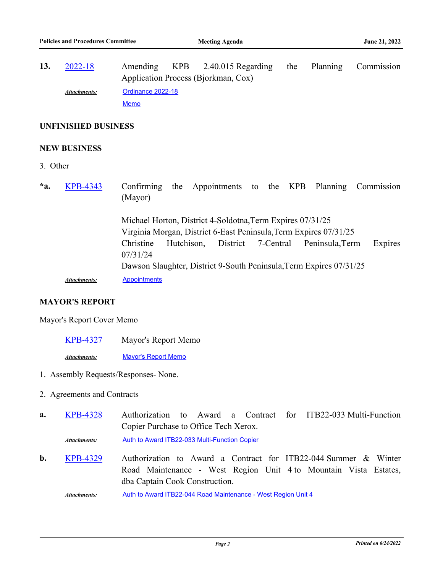Amending KPB 2.40.015 Regarding the Planning Commission Application Process (Bjorkman, Cox) **13.** [2022-18](http://kpb.legistar.com/gateway.aspx?m=l&id=/matter.aspx?key=25759) [Ordinance 2022-18](http://kpb.legistar.com/gateway.aspx?M=F&ID=80dd021e-e550-4e2b-9a71-8ce751d53aee.docx) [Memo](http://kpb.legistar.com/gateway.aspx?M=F&ID=d6c0a481-30db-4e68-9e04-596493b2dc94.pdf) *Attachments:*

#### **UNFINISHED BUSINESS**

## **NEW BUSINESS**

- 3. Other
- Confirming the Appointments to the KPB Planning Commission (Mayor) Michael Horton, District 4-Soldotna,Term Expires 07/31/25 Virginia Morgan, District 6-East Peninsula,Term Expires 07/31/25 Christine Hutchison, District 7-Central Peninsula,Term Expires 07/31/24 Dawson Slaughter, District 9-South Peninsula,Term Expires 07/31/25 **\*a.** [KPB-4343](http://kpb.legistar.com/gateway.aspx?m=l&id=/matter.aspx?key=25833) *Attachments:* [Appointments](http://kpb.legistar.com/gateway.aspx?M=F&ID=97452dad-1285-4618-907b-036a890b1a68.pdf)

## **MAYOR'S REPORT**

## Mayor's Report Cover Memo

[KPB-4327](http://kpb.legistar.com/gateway.aspx?m=l&id=/matter.aspx?key=25817) Mayor's Report Memo *Attachments:* [Mayor's Report Memo](http://kpb.legistar.com/gateway.aspx?M=F&ID=7af8e5bc-7b16-4869-a58b-0477f3714d83.pdf)

1. Assembly Requests/Responses- None.

- 2. Agreements and Contracts
- Authorization to Award a Contract for ITB22-033 Multi-Function Copier Purchase to Office Tech Xerox. **a.** [KPB-4328](http://kpb.legistar.com/gateway.aspx?m=l&id=/matter.aspx?key=25818) Attachments: [Auth to Award ITB22-033 Multi-Function Copier](http://kpb.legistar.com/gateway.aspx?M=F&ID=c28da5b3-d180-4e84-a1e3-e3ae6dce4e6e.pdf)
- Authorization to Award a Contract for ITB22-044 Summer & Winter Road Maintenance - West Region Unit 4 to Mountain Vista Estates, dba Captain Cook Construction. **b.** [KPB-4329](http://kpb.legistar.com/gateway.aspx?m=l&id=/matter.aspx?key=25819)

*Attachments:* [Auth to Award ITB22-044 Road Maintenance - West Region Unit 4](http://kpb.legistar.com/gateway.aspx?M=F&ID=69aefc54-1c6f-4ff6-9221-1b35f2e49b40.pdf)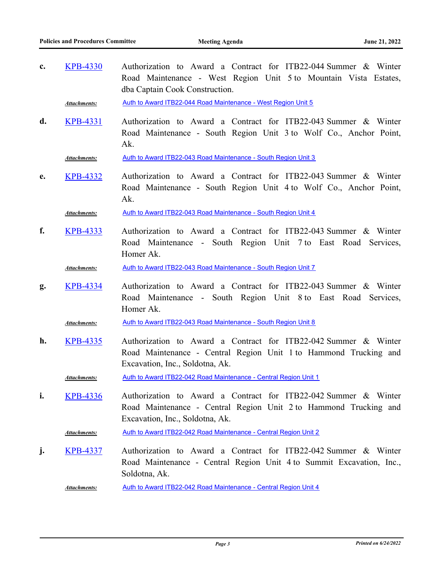Authorization to Award a Contract for ITB22-044 Summer & Winter Road Maintenance - West Region Unit 5 to Mountain Vista Estates, dba Captain Cook Construction. **c.** [KPB-4330](http://kpb.legistar.com/gateway.aspx?m=l&id=/matter.aspx?key=25820)

Attachments: [Auth to Award ITB22-044 Road Maintenance - West Region Unit 5](http://kpb.legistar.com/gateway.aspx?M=F&ID=1ab6f07f-416b-4425-a6e3-9fd2bd406c12.pdf)

Authorization to Award a Contract for ITB22-043 Summer & Winter Road Maintenance - South Region Unit 3 to Wolf Co., Anchor Point, Ak. **d.** [KPB-4331](http://kpb.legistar.com/gateway.aspx?m=l&id=/matter.aspx?key=25821)

*Attachments:* [Auth to Award ITB22-043 Road Maintenance - South Region Unit 3](http://kpb.legistar.com/gateway.aspx?M=F&ID=5b0f3411-8272-4583-ba25-c835e75e195c.pdf)

Authorization to Award a Contract for ITB22-043 Summer & Winter Road Maintenance - South Region Unit 4 to Wolf Co., Anchor Point, Ak. **e.** [KPB-4332](http://kpb.legistar.com/gateway.aspx?m=l&id=/matter.aspx?key=25822)

*Attachments:* [Auth to Award ITB22-043 Road Maintenance - South Region Unit 4](http://kpb.legistar.com/gateway.aspx?M=F&ID=90be9996-ac00-4c0d-9319-8f5dd242b3c5.pdf)

Authorization to Award a Contract for ITB22-043 Summer & Winter Road Maintenance - South Region Unit 7 to East Road Services, Homer Ak. **f.** [KPB-4333](http://kpb.legistar.com/gateway.aspx?m=l&id=/matter.aspx?key=25823)

*Attachments:* [Auth to Award ITB22-043 Road Maintenance - South Region Unit 7](http://kpb.legistar.com/gateway.aspx?M=F&ID=c5587617-20b2-49ac-a60f-66357e9dd8ca.pdf)

Authorization to Award a Contract for ITB22-043 Summer & Winter Road Maintenance - South Region Unit 8 to East Road Services, Homer Ak. **g.** [KPB-4334](http://kpb.legistar.com/gateway.aspx?m=l&id=/matter.aspx?key=25824)

*Attachments:* [Auth to Award ITB22-043 Road Maintenance - South Region Unit 8](http://kpb.legistar.com/gateway.aspx?M=F&ID=8d93b179-32f0-4766-85d7-e8a7adceeca0.pdf)

Authorization to Award a Contract for ITB22-042 Summer & Winter Road Maintenance - Central Region Unit 1 to Hammond Trucking and Excavation, Inc., Soldotna, Ak. **h.** [KPB-4335](http://kpb.legistar.com/gateway.aspx?m=l&id=/matter.aspx?key=25825)

*Attachments:* [Auth to Award ITB22-042 Road Maintenance - Central Region Unit 1](http://kpb.legistar.com/gateway.aspx?M=F&ID=1623bf7c-c48b-41bb-b4c8-e6d6a012dda9.pdf)

Authorization to Award a Contract for ITB22-042 Summer & Winter Road Maintenance - Central Region Unit 2 to Hammond Trucking and Excavation, Inc., Soldotna, Ak. **i.** [KPB-4336](http://kpb.legistar.com/gateway.aspx?m=l&id=/matter.aspx?key=25826)

*Attachments:* [Auth to Award ITB22-042 Road Maintenance - Central Region Unit 2](http://kpb.legistar.com/gateway.aspx?M=F&ID=e8cae08f-63e3-4a9e-af09-665a62cbc908.pdf)

Authorization to Award a Contract for ITB22-042 Summer & Winter Road Maintenance - Central Region Unit 4 to Summit Excavation, Inc., Soldotna, Ak. **j.** [KPB-4337](http://kpb.legistar.com/gateway.aspx?m=l&id=/matter.aspx?key=25827)

*Attachments:* [Auth to Award ITB22-042 Road Maintenance - Central Region Unit 4](http://kpb.legistar.com/gateway.aspx?M=F&ID=d3eb9f1b-56a9-447a-b5f1-2ed6acdbf025.pdf)